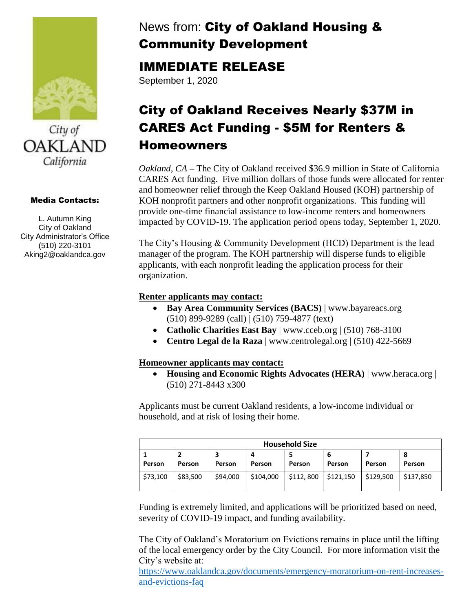



### Media Contacts:

L. Autumn King City of Oakland City Administrator's Office (510) 220-3101 Aking2@oaklandca.gov

## News from: City of Oakland Housing & Community Development

### IMMEDIATE RELEASE

September 1, 2020

# City of Oakland Receives Nearly \$37M in CARES Act Funding - \$5M for Renters & Homeowners

*Oakland, CA* **–** The City of Oakland received \$36.9 million in State of California CARES Act funding. Five million dollars of those funds were allocated for renter and homeowner relief through the Keep Oakland Housed (KOH) partnership of KOH nonprofit partners and other nonprofit organizations. This funding will provide one-time financial assistance to low-income renters and homeowners impacted by COVID-19. The application period opens today, September 1, 2020.

The City's Housing & Community Development (HCD) Department is the lead manager of the program. The KOH partnership will disperse funds to eligible applicants, with each nonprofit leading the application process for their organization.

### **Renter applicants may contact:**

- **Bay Area Community Services (BACS)** | www.bayareacs.org (510) 899-9289 (call) | (510) 759-4877 (text)
- **Catholic Charities East Bay** | www.cceb.org | (510) 768-3100
- **Centro Legal de la Raza** | www.centrolegal.org | (510) 422-5669

### **Homeowner applicants may contact:**

• **Housing and Economic Rights Advocates (HERA)** | www.heraca.org | (510) 271-8443 x300

Applicants must be current Oakland residents, a low-income individual or household, and at risk of losing their home.

| <b>Household Size</b> |          |          |             |           |           |               |             |
|-----------------------|----------|----------|-------------|-----------|-----------|---------------|-------------|
| <b>Person</b>         | Person   | Person   | 4<br>Person | Person    | Person    | <b>Person</b> | 8<br>Person |
| \$73,100              | \$83,500 | \$94,000 | \$104,000   | \$112,800 | \$121,150 | \$129,500     | \$137,850   |

Funding is extremely limited, and applications will be prioritized based on need, severity of COVID-19 impact, and funding availability.

The City of Oakland's Moratorium on Evictions remains in place until the lifting of the local emergency order by the City Council. For more information visit the City's website at:

[https://www.oaklandca.gov/documents/emergency-moratorium-on-rent-increases](https://www.oaklandca.gov/documents/emergency-moratorium-on-rent-increases-and-evictions-faq)[and-evictions-faq](https://www.oaklandca.gov/documents/emergency-moratorium-on-rent-increases-and-evictions-faq)